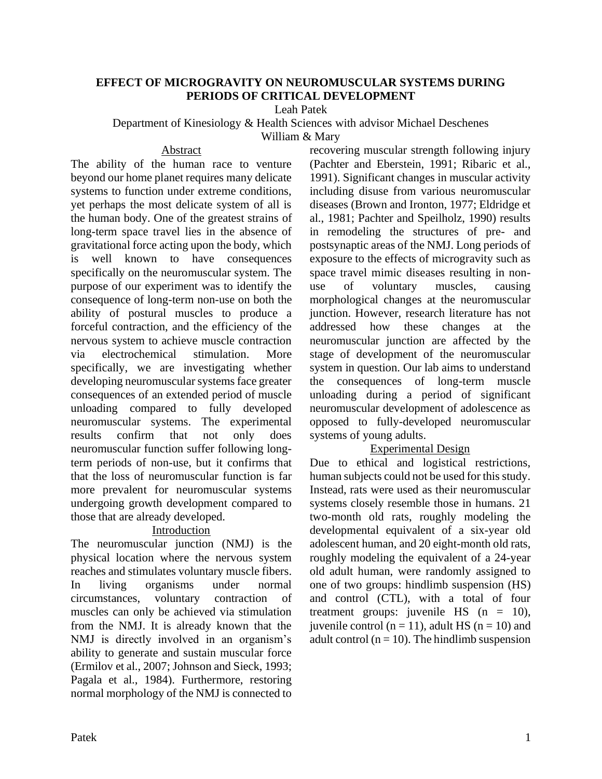# **EFFECT OF MICROGRAVITY ON NEUROMUSCULAR SYSTEMS DURING PERIODS OF CRITICAL DEVELOPMENT**

Leah Patek

Department of Kinesiology & Health Sciences with advisor Michael Deschenes

William & Mary

#### Abstract

The ability of the human race to venture beyond our home planet requires many delicate systems to function under extreme conditions, yet perhaps the most delicate system of all is the human body. One of the greatest strains of long-term space travel lies in the absence of gravitational force acting upon the body, which is well known to have consequences specifically on the neuromuscular system. The purpose of our experiment was to identify the consequence of long-term non-use on both the ability of postural muscles to produce a forceful contraction, and the efficiency of the nervous system to achieve muscle contraction via electrochemical stimulation. More specifically, we are investigating whether developing neuromuscular systems face greater consequences of an extended period of muscle unloading compared to fully developed neuromuscular systems. The experimental results confirm that not only does neuromuscular function suffer following longterm periods of non-use, but it confirms that that the loss of neuromuscular function is far more prevalent for neuromuscular systems undergoing growth development compared to those that are already developed.

# Introduction

The neuromuscular junction (NMJ) is the physical location where the nervous system reaches and stimulates voluntary muscle fibers. In living organisms under normal circumstances, voluntary contraction of muscles can only be achieved via stimulation from the NMJ. It is already known that the NMJ is directly involved in an organism's ability to generate and sustain muscular force (Ermilov et al., 2007; Johnson and Sieck, 1993; Pagala et al., 1984). Furthermore, restoring normal morphology of the NMJ is connected to recovering muscular strength following injury (Pachter and Eberstein, 1991; Ribaric et al., 1991). Significant changes in muscular activity including disuse from various neuromuscular diseases (Brown and Ironton, 1977; Eldridge et al., 1981; Pachter and Speilholz, 1990) results in remodeling the structures of pre- and postsynaptic areas of the NMJ. Long periods of exposure to the effects of microgravity such as space travel mimic diseases resulting in nonuse of voluntary muscles, causing morphological changes at the neuromuscular junction. However, research literature has not addressed how these changes at the neuromuscular junction are affected by the stage of development of the neuromuscular system in question. Our lab aims to understand the consequences of long-term muscle unloading during a period of significant neuromuscular development of adolescence as opposed to fully-developed neuromuscular systems of young adults.

### Experimental Design

Due to ethical and logistical restrictions, human subjects could not be used for this study. Instead, rats were used as their neuromuscular systems closely resemble those in humans. 21 two-month old rats, roughly modeling the developmental equivalent of a six-year old adolescent human, and 20 eight-month old rats, roughly modeling the equivalent of a 24-year old adult human, were randomly assigned to one of two groups: hindlimb suspension (HS) and control (CTL), with a total of four treatment groups: juvenile HS  $(n = 10)$ , juvenile control ( $n = 11$ ), adult HS ( $n = 10$ ) and adult control ( $n = 10$ ). The hindlimb suspension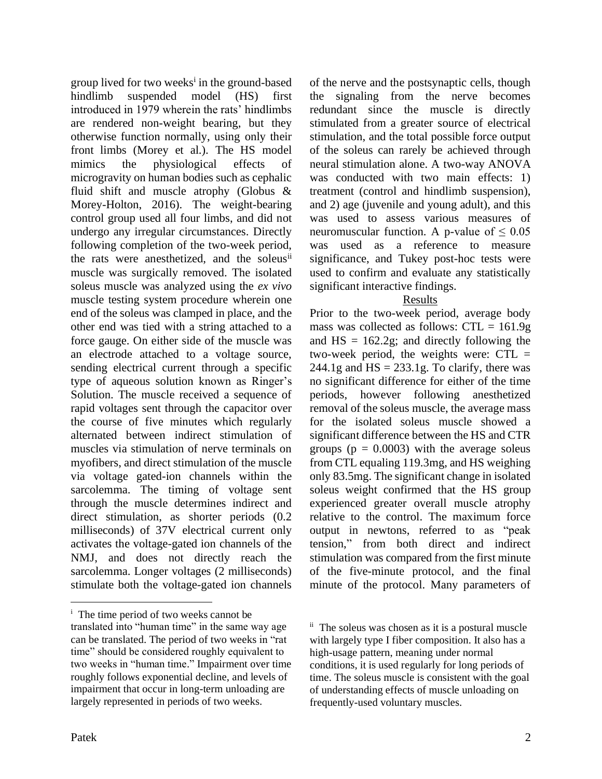group lived for two weeks<sup>i</sup> in the ground-based hindlimb suspended model (HS) first introduced in 1979 wherein the rats' hindlimbs are rendered non-weight bearing, but they otherwise function normally, using only their front limbs (Morey et al.). The HS model mimics the physiological effects of microgravity on human bodies such as cephalic fluid shift and muscle atrophy (Globus & Morey-Holton, 2016). The weight-bearing control group used all four limbs, and did not undergo any irregular circumstances. Directly following completion of the two-week period, the rats were anesthetized, and the soleus<sup>ii</sup> muscle was surgically removed. The isolated soleus muscle was analyzed using the *ex vivo* muscle testing system procedure wherein one end of the soleus was clamped in place, and the other end was tied with a string attached to a force gauge. On either side of the muscle was an electrode attached to a voltage source, sending electrical current through a specific type of aqueous solution known as Ringer's Solution. The muscle received a sequence of rapid voltages sent through the capacitor over the course of five minutes which regularly alternated between indirect stimulation of muscles via stimulation of nerve terminals on myofibers, and direct stimulation of the muscle via voltage gated-ion channels within the sarcolemma. The timing of voltage sent through the muscle determines indirect and direct stimulation, as shorter periods (0.2 milliseconds) of 37V electrical current only activates the voltage-gated ion channels of the NMJ, and does not directly reach the sarcolemma. Longer voltages (2 milliseconds) stimulate both the voltage-gated ion channels

of the nerve and the postsynaptic cells, though the signaling from the nerve becomes redundant since the muscle is directly stimulated from a greater source of electrical stimulation, and the total possible force output of the soleus can rarely be achieved through neural stimulation alone. A two-way ANOVA was conducted with two main effects: 1) treatment (control and hindlimb suspension), and 2) age (juvenile and young adult), and this was used to assess various measures of neuromuscular function. A p-value of  $\leq 0.05$ was used as a reference to measure significance, and Tukey post-hoc tests were used to confirm and evaluate any statistically significant interactive findings.

# Results

Prior to the two-week period, average body mass was collected as follows:  $CTL = 161.9g$ and  $HS = 162.2g$ ; and directly following the two-week period, the weights were:  $CTL =$ 244.1g and  $HS = 233.1g$ . To clarify, there was no significant difference for either of the time periods, however following anesthetized removal of the soleus muscle, the average mass for the isolated soleus muscle showed a significant difference between the HS and CTR groups ( $p = 0.0003$ ) with the average soleus from CTL equaling 119.3mg, and HS weighing only 83.5mg. The significant change in isolated soleus weight confirmed that the HS group experienced greater overall muscle atrophy relative to the control. The maximum force output in newtons, referred to as "peak tension," from both direct and indirect stimulation was compared from the first minute of the five-minute protocol, and the final minute of the protocol. Many parameters of

<sup>&</sup>lt;sup>i</sup> The time period of two weeks cannot be

translated into "human time" in the same way age can be translated. The period of two weeks in "rat time" should be considered roughly equivalent to two weeks in "human time." Impairment over time roughly follows exponential decline, and levels of impairment that occur in long-term unloading are largely represented in periods of two weeks.

ii The soleus was chosen as it is a postural muscle with largely type I fiber composition. It also has a high-usage pattern, meaning under normal conditions, it is used regularly for long periods of time. The soleus muscle is consistent with the goal of understanding effects of muscle unloading on frequently-used voluntary muscles.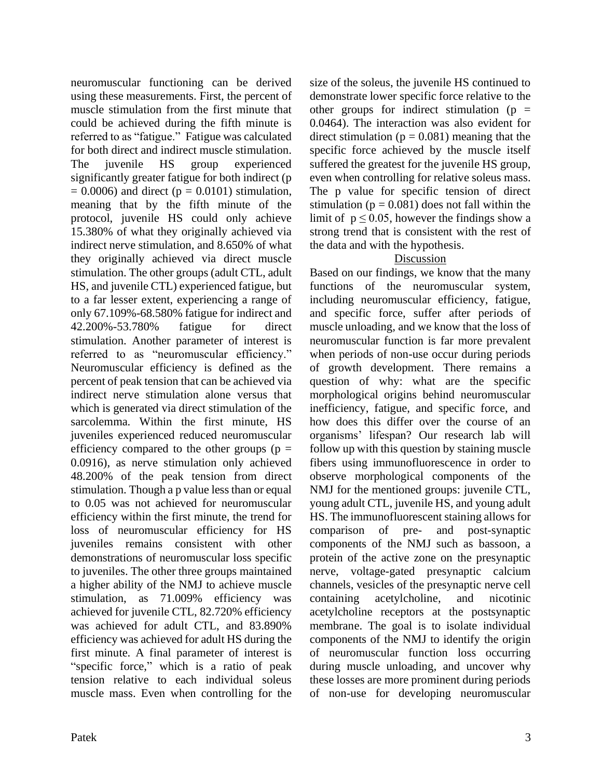neuromuscular functioning can be derived using these measurements. First, the percent of muscle stimulation from the first minute that could be achieved during the fifth minute is referred to as "fatigue." Fatigue was calculated for both direct and indirect muscle stimulation. The juvenile HS group experienced significantly greater fatigue for both indirect (p  $= 0.0006$ ) and direct ( $p = 0.0101$ ) stimulation, meaning that by the fifth minute of the protocol, juvenile HS could only achieve 15.380% of what they originally achieved via indirect nerve stimulation, and 8.650% of what they originally achieved via direct muscle stimulation. The other groups (adult CTL, adult HS, and juvenile CTL) experienced fatigue, but to a far lesser extent, experiencing a range of only 67.109%-68.580% fatigue for indirect and 42.200%-53.780% fatigue for direct stimulation. Another parameter of interest is referred to as "neuromuscular efficiency." Neuromuscular efficiency is defined as the percent of peak tension that can be achieved via indirect nerve stimulation alone versus that which is generated via direct stimulation of the sarcolemma. Within the first minute, HS juveniles experienced reduced neuromuscular efficiency compared to the other groups ( $p =$ 0.0916), as nerve stimulation only achieved 48.200% of the peak tension from direct stimulation. Though a p value less than or equal to 0.05 was not achieved for neuromuscular efficiency within the first minute, the trend for loss of neuromuscular efficiency for HS juveniles remains consistent with other demonstrations of neuromuscular loss specific to juveniles. The other three groups maintained a higher ability of the NMJ to achieve muscle stimulation, as 71.009% efficiency was achieved for juvenile CTL, 82.720% efficiency was achieved for adult CTL, and 83.890% efficiency was achieved for adult HS during the first minute. A final parameter of interest is "specific force," which is a ratio of peak tension relative to each individual soleus muscle mass. Even when controlling for the

size of the soleus, the juvenile HS continued to demonstrate lower specific force relative to the other groups for indirect stimulation ( $p =$ 0.0464). The interaction was also evident for direct stimulation ( $p = 0.081$ ) meaning that the specific force achieved by the muscle itself suffered the greatest for the juvenile HS group, even when controlling for relative soleus mass. The p value for specific tension of direct stimulation ( $p = 0.081$ ) does not fall within the limit of  $p \le 0.05$ , however the findings show a strong trend that is consistent with the rest of the data and with the hypothesis.

#### Discussion

Based on our findings, we know that the many functions of the neuromuscular system, including neuromuscular efficiency, fatigue, and specific force, suffer after periods of muscle unloading, and we know that the loss of neuromuscular function is far more prevalent when periods of non-use occur during periods of growth development. There remains a question of why: what are the specific morphological origins behind neuromuscular inefficiency, fatigue, and specific force, and how does this differ over the course of an organisms' lifespan? Our research lab will follow up with this question by staining muscle fibers using immunofluorescence in order to observe morphological components of the NMJ for the mentioned groups: juvenile CTL, young adult CTL, juvenile HS, and young adult HS. The immunofluorescent staining allows for comparison of pre- and post-synaptic components of the NMJ such as bassoon, a protein of the active zone on the presynaptic nerve, voltage-gated presynaptic calcium channels, vesicles of the presynaptic nerve cell containing acetylcholine, and nicotinic acetylcholine receptors at the postsynaptic membrane. The goal is to isolate individual components of the NMJ to identify the origin of neuromuscular function loss occurring during muscle unloading, and uncover why these losses are more prominent during periods of non-use for developing neuromuscular